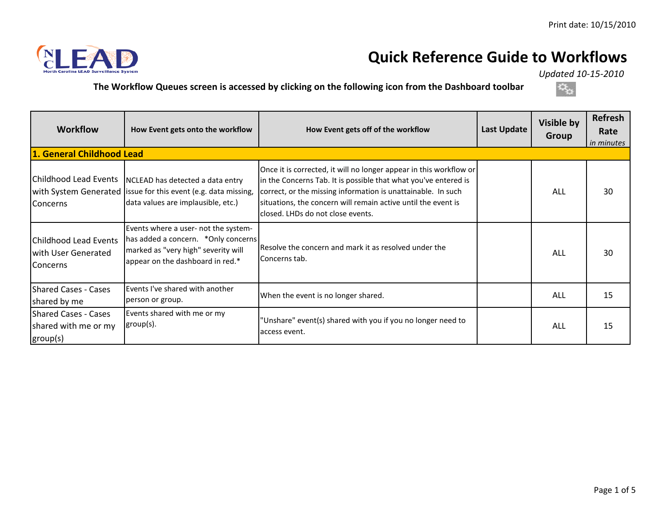

## **Quick Reference Guide to Workflows**

*Updated 10-15-2010* 

**The Workflow Queues screen is accessed by clicking on the following icon from the Dashboard toolbar**



| <b>Workflow</b>                                                 | How Event gets onto the workflow                                                                                                                                  | How Event gets off of the workflow                                                                                                                                                                                                                                                                          | <b>Last Update</b> | Visible by<br><b>Group</b> | <b>Refresh</b><br>Rate<br>in minutes |
|-----------------------------------------------------------------|-------------------------------------------------------------------------------------------------------------------------------------------------------------------|-------------------------------------------------------------------------------------------------------------------------------------------------------------------------------------------------------------------------------------------------------------------------------------------------------------|--------------------|----------------------------|--------------------------------------|
| 1. General Childhood Lead                                       |                                                                                                                                                                   |                                                                                                                                                                                                                                                                                                             |                    |                            |                                      |
| Concerns                                                        | Childhood Lead Events   NCLEAD has detected a data entry<br>with System Generated lissue for this event (e.g. data missing,<br>data values are implausible, etc.) | Once it is corrected, it will no longer appear in this workflow or<br>in the Concerns Tab. It is possible that what you've entered is<br>correct, or the missing information is unattainable. In such<br>situations, the concern will remain active until the event is<br>closed. LHDs do not close events. |                    | ALL                        | 30                                   |
| Childhood Lead Events<br>with User Generated<br>Concerns        | Events where a user- not the system-<br>has added a concern. *Only concerns<br>marked as "very high" severity will<br>appear on the dashboard in red.*            | Resolve the concern and mark it as resolved under the<br>Concerns tab.                                                                                                                                                                                                                                      |                    | ALL                        | 30                                   |
| <b>Shared Cases - Cases</b><br>shared by me                     | Events I've shared with another<br>person or group.                                                                                                               | When the event is no longer shared.                                                                                                                                                                                                                                                                         |                    | <b>ALL</b>                 | 15                                   |
| <b>Shared Cases - Cases</b><br>shared with me or my<br>group(s) | Events shared with me or my<br>group(s).                                                                                                                          | "Unshare" event(s) shared with you if you no longer need to<br>access event.                                                                                                                                                                                                                                |                    | <b>ALL</b>                 | 15                                   |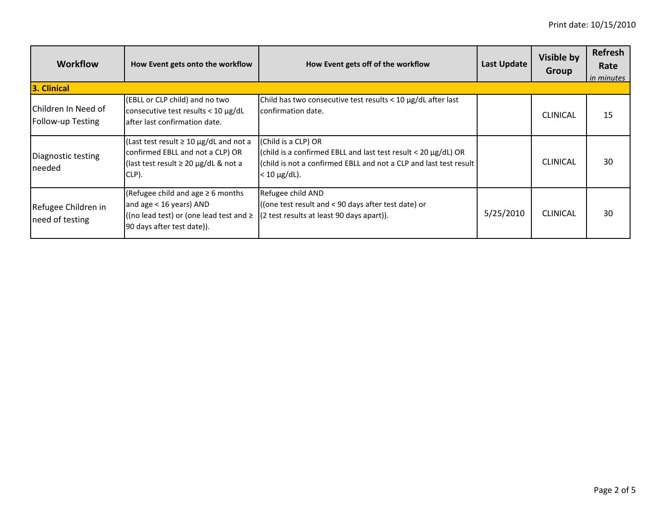| <b>Workflow</b>                          | How Event gets onto the workflow                                                                                                                | How Event gets off of the workflow                                                                                                                                                    | <b>Last Update</b> | Visible by<br><b>Group</b> | <b>Refresh</b><br>Rate<br>in minutes |
|------------------------------------------|-------------------------------------------------------------------------------------------------------------------------------------------------|---------------------------------------------------------------------------------------------------------------------------------------------------------------------------------------|--------------------|----------------------------|--------------------------------------|
| 3. Clinical                              |                                                                                                                                                 |                                                                                                                                                                                       |                    |                            |                                      |
| Children In Need of<br>Follow-up Testing | (EBLL or CLP child) and no two<br>consecutive test results < $10 \mu g/dL$<br>lafter last confirmation date.                                    | Child has two consecutive test results < $10 \mu g/dL$ after last<br>confirmation date.                                                                                               |                    | <b>CLINICAL</b>            | 15                                   |
| Diagnostic testing<br>needed             | (Last test result $\geq 10 \mu g/dL$ and not a<br>confirmed EBLL and not a CLP) OR<br>(last test result $\geq$ 20 µg/dL & not a<br>CLP).        | (Child is a CLP) OR<br>(child is a confirmed EBLL and last test result < 20 $\mu$ g/dL) OR<br>(child is not a confirmed EBLL and not a CLP and last test result<br>$< 10 \mu g/dL$ ). |                    | <b>CLINICAL</b>            | 30                                   |
| Refugee Children in<br>need of testing   | (Refugee child and age $\geq 6$ months<br>and age < 16 years) AND<br>((no lead test) or (one lead test and $\geq$<br>90 days after test date)). | Refugee child AND<br>((one test result and < 90 days after test date) or<br>(2 test results at least 90 days apart)).                                                                 | 5/25/2010          | <b>CLINICAL</b>            | 30                                   |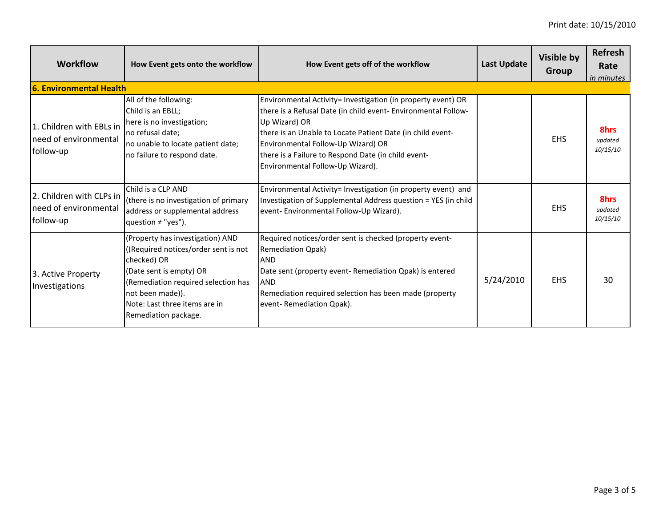| <b>Workflow</b>                                                | How Event gets onto the workflow                                                                                                                                                                                                      | How Event gets off of the workflow                                                                                                                                                                                                                                                                                                             | <b>Last Update</b> | Visible by<br>Group | <b>Refresh</b><br>Rate<br><i>in minutes</i> |  |
|----------------------------------------------------------------|---------------------------------------------------------------------------------------------------------------------------------------------------------------------------------------------------------------------------------------|------------------------------------------------------------------------------------------------------------------------------------------------------------------------------------------------------------------------------------------------------------------------------------------------------------------------------------------------|--------------------|---------------------|---------------------------------------------|--|
| 6. Environmental Health                                        |                                                                                                                                                                                                                                       |                                                                                                                                                                                                                                                                                                                                                |                    |                     |                                             |  |
| 1. Children with EBLs in<br>need of environmental<br>follow-up | All of the following:<br>Child is an EBLL;<br>here is no investigation;<br>no refusal date;<br>no unable to locate patient date;<br>no failure to respond date.                                                                       | Environmental Activity= Investigation (in property event) OR<br>there is a Refusal Date (in child event- Environmental Follow-<br>Up Wizard) OR<br>there is an Unable to Locate Patient Date (in child event-<br>Environmental Follow-Up Wizard) OR<br>there is a Failure to Respond Date (in child event-<br>Environmental Follow-Up Wizard). |                    | <b>EHS</b>          | 8hrs<br>updated<br>10/15/10                 |  |
| 2. Children with CLPs in<br>need of environmental<br>follow-up | Child is a CLP AND<br>(there is no investigation of primary<br>address or supplemental address<br>question ≠ "yes").                                                                                                                  | Environmental Activity= Investigation (in property event) and<br>Investigation of Supplemental Address question = YES (in child<br>event- Environmental Follow-Up Wizard).                                                                                                                                                                     |                    | <b>EHS</b>          | 8hrs<br>updated<br>10/15/10                 |  |
| 3. Active Property<br>Investigations                           | (Property has investigation) AND<br>(Required notices/order sent is not<br>checked) OR<br>(Date sent is empty) OR<br>(Remediation required selection has<br>not been made)).<br>Note: Last three items are in<br>Remediation package. | Required notices/order sent is checked (property event-<br><b>Remediation Qpak)</b><br><b>AND</b><br>Date sent (property event- Remediation Qpak) is entered<br><b>AND</b><br>Remediation required selection has been made (property<br>event-Remediation Qpak).                                                                               | 5/24/2010          | <b>EHS</b>          | 30                                          |  |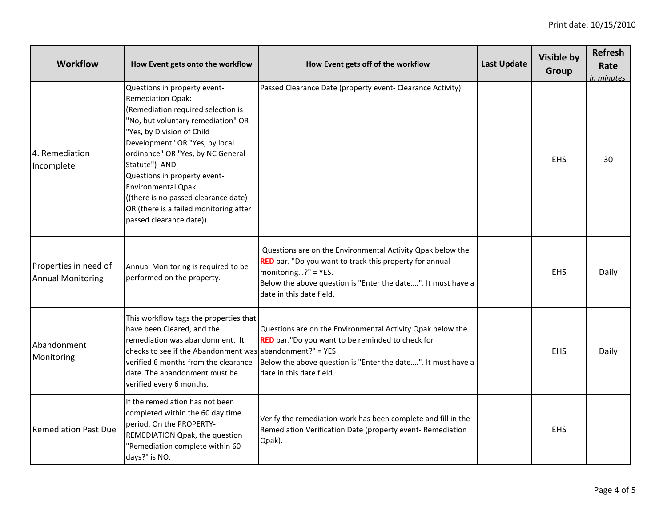| <b>Workflow</b>                                   | How Event gets onto the workflow                                                                                                                                                                                                                                                                                                                                                                                                       | How Event gets off of the workflow                                                                                                                                                                                                       | <b>Last Update</b> | <b>Visible by</b><br>Group | Refresh<br>Rate<br>in minutes |
|---------------------------------------------------|----------------------------------------------------------------------------------------------------------------------------------------------------------------------------------------------------------------------------------------------------------------------------------------------------------------------------------------------------------------------------------------------------------------------------------------|------------------------------------------------------------------------------------------------------------------------------------------------------------------------------------------------------------------------------------------|--------------------|----------------------------|-------------------------------|
| 4. Remediation<br>Incomplete                      | Questions in property event-<br><b>Remediation Qpak:</b><br>(Remediation required selection is<br>"No, but voluntary remediation" OR<br>"Yes, by Division of Child<br>Development" OR "Yes, by local<br>ordinance" OR "Yes, by NC General<br>Statute") AND<br>Questions in property event-<br><b>Environmental Qpak:</b><br>((there is no passed clearance date)<br>OR (there is a failed monitoring after<br>passed clearance date)). | Passed Clearance Date (property event- Clearance Activity).                                                                                                                                                                              |                    | <b>EHS</b>                 | 30                            |
| Properties in need of<br><b>Annual Monitoring</b> | Annual Monitoring is required to be<br>performed on the property.                                                                                                                                                                                                                                                                                                                                                                      | Questions are on the Environmental Activity Qpak below the<br>RED bar. "Do you want to track this property for annual<br>monitoring?" = YES.<br>Below the above question is "Enter the date". It must have a<br>date in this date field. |                    | <b>EHS</b>                 | Daily                         |
| Abandonment<br>Monitoring                         | This workflow tags the properties that<br>have been Cleared, and the<br>remediation was abandonment. It<br>checks to see if the Abandonment was abandonment?" = YES<br>verified 6 months from the clearance<br>date. The abandonment must be<br>verified every 6 months.                                                                                                                                                               | Questions are on the Environmental Activity Qpak below the<br>RED bar."Do you want to be reminded to check for<br>Below the above question is "Enter the date". It must have a<br>date in this date field.                               |                    | <b>EHS</b>                 | Daily                         |
| <b>Remediation Past Due</b>                       | If the remediation has not been<br>completed within the 60 day time<br>period. On the PROPERTY-<br>REMEDIATION Qpak, the question<br>"Remediation complete within 60<br>days?" is NO.                                                                                                                                                                                                                                                  | Verify the remediation work has been complete and fill in the<br>Remediation Verification Date (property event- Remediation<br>Qpak).                                                                                                    |                    | <b>EHS</b>                 |                               |